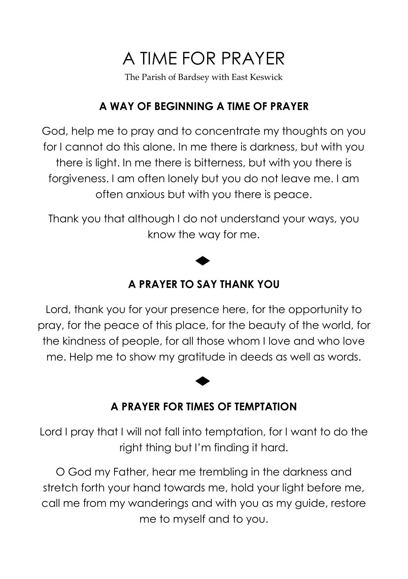# A TIME FOR PRAYER

The Parish of Bardsey with East Keswick

# **A WAY OF BEGINNING A TIME OF PRAYER**

God, help me to pray and to concentrate my thoughts on you for I cannot do this alone. In me there is darkness, but with you there is light. In me there is bitterness, but with you there is forgiveness. I am often lonely but you do not leave me. I am often anxious but with you there is peace.

Thank you that although I do not understand your ways, you know the way for me.

# **A PRAYER TO SAY THANK YOU**

Lord, thank you for your presence here, for the opportunity to pray, for the peace of this place, for the beauty of the world, for the kindness of people, for all those whom I love and who love me. Help me to show my gratitude in deeds as well as words.

# **A PRAYER FOR TIMES OF TEMPTATION**

Lord I pray that I will not fall into temptation, for I want to do the right thing but I'm finding it hard.

O God my Father, hear me trembling in the darkness and stretch forth your hand towards me, hold your light before me, call me from my wanderings and with you as my guide, restore me to myself and to you.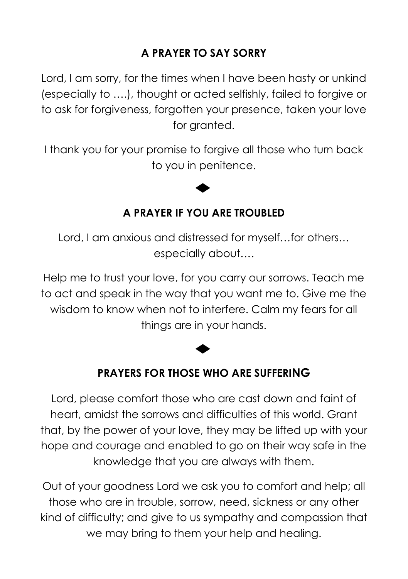# **A PRAYER TO SAY SORRY**

Lord, I am sorry, for the times when I have been hasty or unkind (especially to ….), thought or acted selfishly, failed to forgive or to ask for forgiveness, forgotten your presence, taken your love for granted.

I thank you for your promise to forgive all those who turn back to you in penitence.

### **A PRAYER IF YOU ARE TROUBLED**

Lord, I am anxious and distressed for myself…for others… especially about….

Help me to trust your love, for you carry our sorrows. Teach me to act and speak in the way that you want me to. Give me the wisdom to know when not to interfere. Calm my fears for all things are in your hands.

### **PRAYERS FOR THOSE WHO ARE SUFFERING**

Lord, please comfort those who are cast down and faint of heart, amidst the sorrows and difficulties of this world. Grant that, by the power of your love, they may be lifted up with your hope and courage and enabled to go on their way safe in the knowledge that you are always with them.

Out of your goodness Lord we ask you to comfort and help; all those who are in trouble, sorrow, need, sickness or any other kind of difficulty; and give to us sympathy and compassion that we may bring to them your help and healing.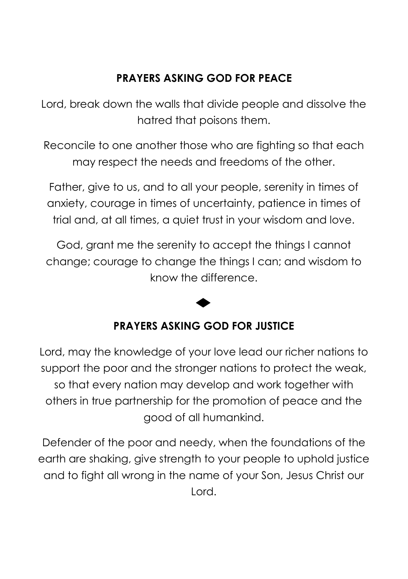### **PRAYERS ASKING GOD FOR PEACE**

Lord, break down the walls that divide people and dissolve the hatred that poisons them.

Reconcile to one another those who are fighting so that each may respect the needs and freedoms of the other.

Father, give to us, and to all your people, serenity in times of anxiety, courage in times of uncertainty, patience in times of trial and, at all times, a quiet trust in your wisdom and love.

God, grant me the serenity to accept the things I cannot change; courage to change the things I can; and wisdom to know the difference.

# **PRAYERS ASKING GOD FOR JUSTICE**

Lord, may the knowledge of your love lead our richer nations to support the poor and the stronger nations to protect the weak, so that every nation may develop and work together with others in true partnership for the promotion of peace and the good of all humankind.

Defender of the poor and needy, when the foundations of the earth are shaking, give strength to your people to uphold justice and to fight all wrong in the name of your Son, Jesus Christ our Lord.